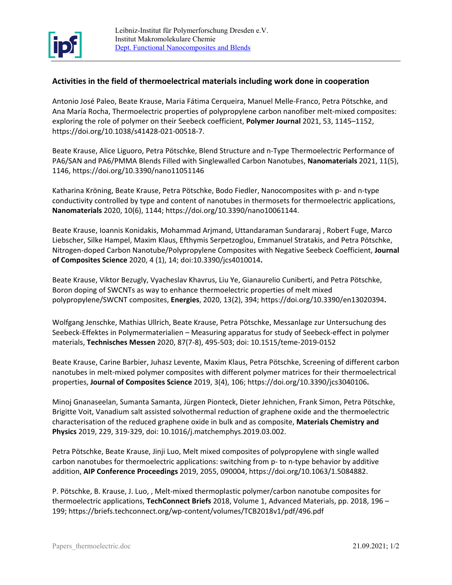

## **Activities in the field of thermoelectrical materials including work done in cooperation**

Antonio José Paleo, Beate Krause, Maria Fátima Cerqueira, Manuel Melle-Franco, Petra Pötschke, and Ana María Rocha, Thermoelectric properties of polypropylene carbon nanofiber melt-mixed composites: exploring the role of polymer on their Seebeck coefficient, **Polymer Journal** 2021, 53, 1145–1152, https://doi.org/10.1038/s41428-021-00518-7.

Beate Krause, Alice Liguoro, Petra Pötschke, Blend Structure and n-Type Thermoelectric Performance of PA6/SAN and PA6/PMMA Blends Filled with Singlewalled Carbon Nanotubes, **Nanomaterials** 2021, 11(5), 1146, https://doi.org/10.3390/nano11051146

Katharina Kröning, Beate Krause, Petra Pötschke, Bodo Fiedler, Nanocomposites with p- and n-type conductivity controlled by type and content of nanotubes in thermosets for thermoelectric applications, **Nanomaterials** 2020, 10(6), 1144; https://doi.org/10.3390/nano10061144.

Beate Krause, Ioannis Konidakis, Mohammad Arjmand, Uttandaraman Sundararaj , Robert Fuge, Marco Liebscher, Silke Hampel, Maxim Klaus, Efthymis Serpetzoglou, Emmanuel Stratakis, and Petra Pötschke, Nitrogen-doped Carbon Nanotube/Polypropylene Composites with Negative Seebeck Coefficient, **Journal of Composites Science** 2020, 4 (1), 14; doi:10.3390/jcs4010014**.**

Beate Krause, Viktor Bezugly, Vyacheslav Khavrus, Liu Ye, Gianaurelio Cuniberti, and Petra Pötschke, Boron doping of SWCNTs as way to enhance thermoelectric properties of melt mixed polypropylene/SWCNT composites, **Energies**, 2020, 13(2), 394[; https://doi.org/10.3390/en13020394](https://doi.org/10.3390/en13020394)**.**

Wolfgang Jenschke, Mathias Ullrich, Beate Krause, Petra Pötschke, Messanlage zur Untersuchung des Seebeck-Effektes in Polymermaterialien – Measuring apparatus for study of Seebeck-effect in polymer materials, **Technisches Messen** 2020, 87(7-8), 495-503; doi: 10.1515/teme-2019-0152

Beate Krause, Carine Barbier, Juhasz Levente, Maxim Klaus, Petra Pötschke, Screening of different carbon nanotubes in melt-mixed polymer composites with different polymer matrices for their thermoelectrical properties, **Journal of Composites Science** 2019, 3(4), 106;<https://doi.org/10.3390/jcs3040106>**.**

Minoj Gnanaseelan, Sumanta Samanta, Jürgen Pionteck, Dieter Jehnichen, Frank Simon, Petra Pötschke, Brigitte Voit, Vanadium salt assisted solvothermal reduction of graphene oxide and the thermoelectric characterisation of the reduced graphene oxide in bulk and as composite, **Materials Chemistry and Physics** 2019, 229, 319-329, doi: 10.1016/j.matchemphys.2019.03.002.

Petra Pötschke, Beate Krause, Jinji Luo, Melt mixed composites of polypropylene with single walled carbon nanotubes for thermoelectric applications: switching from p- to n-type behavior by additive addition, **AIP Conference Proceedings** 2019, 2055, 090004, https://doi.org/10.1063/1.5084882.

P. [Pötschke, B.](https://briefs.techconnect.org/paper_author/potschke-p/) [Krause, J](https://briefs.techconnect.org/paper_author/krause-b/). [Luo,](https://briefs.techconnect.org/paper_author/luo-j/) , Melt-mixed thermoplastic polymer/carbon nanotube composites for thermoelectric applications, **TechConnect Briefs** 2018, Volume [1, Advanced Materials, pp. 2018,](https://briefs.techconnect.org/books/advanced-materials-techconnect-briefs-2018/) 196 – 199; https://briefs.techconnect.org/wp-content/volumes/TCB2018v1/pdf/496.pdf